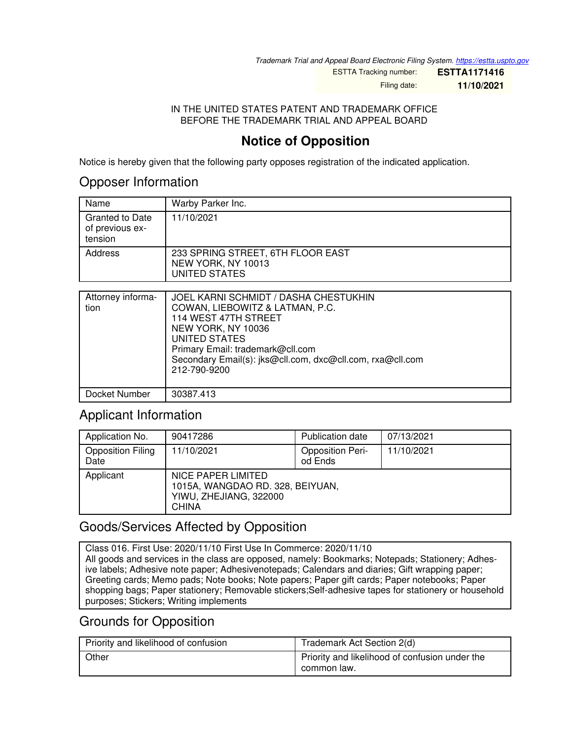*Trademark Trial and Appeal Board Electronic Filing System. <https://estta.uspto.gov>*

ESTTA Tracking number: **ESTTA1171416**

Filing date: **11/10/2021**

#### IN THE UNITED STATES PATENT AND TRADEMARK OFFICE BEFORE THE TRADEMARK TRIAL AND APPEAL BOARD

## **Notice of Opposition**

Notice is hereby given that the following party opposes registration of the indicated application.

#### Opposer Information

| Name                                                 | Warby Parker Inc.                                                        |
|------------------------------------------------------|--------------------------------------------------------------------------|
| <b>Granted to Date</b><br>of previous ex-<br>tension | 11/10/2021                                                               |
| Address                                              | 233 SPRING STREET, 6TH FLOOR EAST<br>NEW YORK, NY 10013<br>UNITED STATES |

| Attorney informa-<br>tion | JOEL KARNI SCHMIDT / DASHA CHESTUKHIN<br>COWAN, LIEBOWITZ & LATMAN, P.C.<br>114 WEST 47TH STREET<br>NEW YORK, NY 10036<br>UNITED STATES<br>Primary Email: trademark@cll.com<br>Secondary Email(s): jks@cll.com, dxc@cll.com, rxa@cll.com<br>212-790-9200 |
|---------------------------|----------------------------------------------------------------------------------------------------------------------------------------------------------------------------------------------------------------------------------------------------------|
| Docket Number             | 30387.413                                                                                                                                                                                                                                                |

## Applicant Information

| Application No.                  | 90417286                                                                                         | <b>Publication date</b>            | 07/13/2021 |
|----------------------------------|--------------------------------------------------------------------------------------------------|------------------------------------|------------|
| <b>Opposition Filing</b><br>Date | 11/10/2021                                                                                       | <b>Opposition Peri-</b><br>od Ends | 11/10/2021 |
| Applicant                        | NICE PAPER LIMITED<br>1015A, WANGDAO RD. 328, BEIYUAN,<br>YIWU, ZHEJIANG, 322000<br><b>CHINA</b> |                                    |            |

## Goods/Services Affected by Opposition

Class 016. First Use: 2020/11/10 First Use In Commerce: 2020/11/10 All goods and services in the class are opposed, namely: Bookmarks; Notepads; Stationery; Adhesive labels; Adhesive note paper; Adhesivenotepads; Calendars and diaries; Gift wrapping paper; Greeting cards; Memo pads; Note books; Note papers; Paper gift cards; Paper notebooks; Paper shopping bags; Paper stationery; Removable stickers;Self-adhesive tapes for stationery or household purposes; Stickers; Writing implements

## Grounds for Opposition

| Priority and likelihood of confusion | Trademark Act Section 2(d)                                    |
|--------------------------------------|---------------------------------------------------------------|
| Other                                | Priority and likelihood of confusion under the<br>common law. |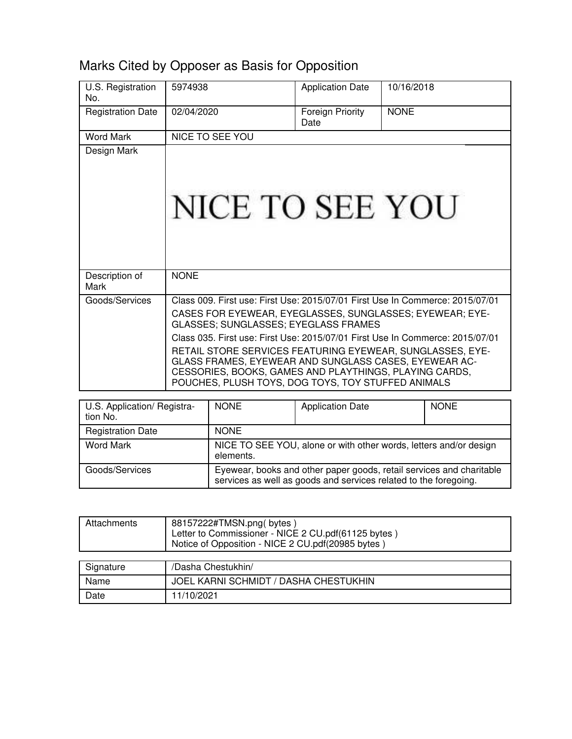# Marks Cited by Opposer as Basis for Opposition

| U.S. Registration<br>No. | 5974938                                                                                                                                                                                                                                                                                                                                                                                                                                                                                                  | <b>Application Date</b>  | 10/16/2018  |
|--------------------------|----------------------------------------------------------------------------------------------------------------------------------------------------------------------------------------------------------------------------------------------------------------------------------------------------------------------------------------------------------------------------------------------------------------------------------------------------------------------------------------------------------|--------------------------|-------------|
| <b>Registration Date</b> | 02/04/2020                                                                                                                                                                                                                                                                                                                                                                                                                                                                                               | Foreign Priority<br>Date | <b>NONE</b> |
| Word Mark                | <b>NICE TO SEE YOU</b>                                                                                                                                                                                                                                                                                                                                                                                                                                                                                   |                          |             |
| Design Mark              | NICE TO SEE YOU                                                                                                                                                                                                                                                                                                                                                                                                                                                                                          |                          |             |
| Description of<br>Mark   | <b>NONE</b>                                                                                                                                                                                                                                                                                                                                                                                                                                                                                              |                          |             |
| Goods/Services           | Class 009. First use: First Use: 2015/07/01 First Use In Commerce: 2015/07/01<br>CASES FOR EYEWEAR, EYEGLASSES, SUNGLASSES; EYEWEAR; EYE-<br>GLASSES; SUNGLASSES; EYEGLASS FRAMES<br>Class 035. First use: First Use: 2015/07/01 First Use In Commerce: 2015/07/01<br>RETAIL STORE SERVICES FEATURING EYEWEAR, SUNGLASSES, EYE-<br>GLASS FRAMES, EYEWEAR AND SUNGLASS CASES, EYEWEAR AC-<br>CESSORIES, BOOKS, GAMES AND PLAYTHINGS, PLAYING CARDS,<br>POUCHES, PLUSH TOYS, DOG TOYS, TOY STUFFED ANIMALS |                          |             |

| U.S. Application/ Registra-<br>tion No. | <b>NONE</b>                                                                                                                              | <b>Application Date</b> | <b>NONE</b> |
|-----------------------------------------|------------------------------------------------------------------------------------------------------------------------------------------|-------------------------|-------------|
| <b>Registration Date</b>                | <b>NONE</b>                                                                                                                              |                         |             |
| <b>Word Mark</b>                        | NICE TO SEE YOU, alone or with other words, letters and/or design<br>elements.                                                           |                         |             |
| Goods/Services                          | Eyewear, books and other paper goods, retail services and charitable<br>services as well as goods and services related to the foregoing. |                         |             |

| Attachments | 88157222#TMSN.png(bytes)<br>Letter to Commissioner - NICE 2 CU.pdf(61125 bytes)<br>Notice of Opposition - NICE 2 CU.pdf(20985 bytes) |
|-------------|--------------------------------------------------------------------------------------------------------------------------------------|
| Signature   | /Dasha Chestukhin/                                                                                                                   |

| Signature | /Dasna Chestuknin/                    |
|-----------|---------------------------------------|
| Name      | JOEL KARNI SCHMIDT / DASHA CHESTUKHIN |
| Date      | 11/10/2021                            |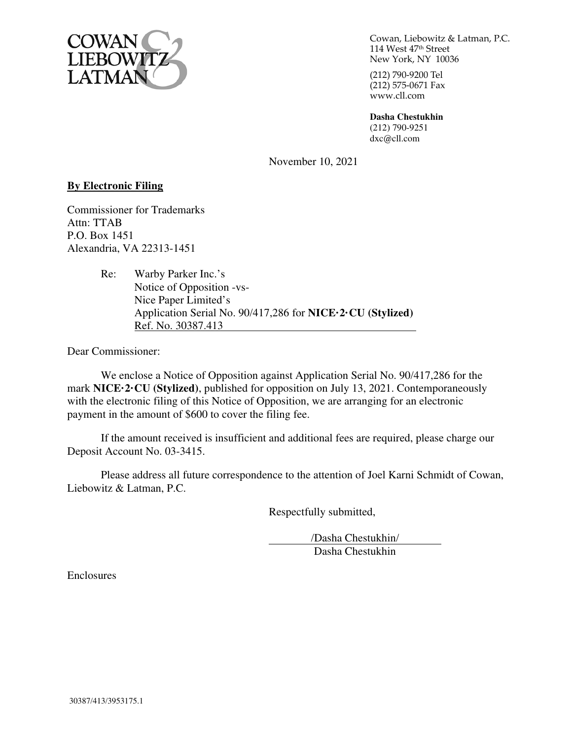

Cowan, Liebowitz & Latman, P.C. 114 West 47th Street New York, NY 10036

(212) 790-9200 Tel  $(212)$  575-0671 Fax www.cll.com

**Dasha Chestukhin**  (212) 790-9251 dxc@cll.com

November 10, 2021

#### **By Electronic Filing**

Commissioner for Trademarks Attn: TTAB P.O. Box 1451 Alexandria, VA 22313-1451

> Re: Warby Parker Inc.'s Notice of Opposition -vs- Nice Paper Limited's Application Serial No. 90/417,286 for **NICE·2·CU (Stylized)**  Ref. No. 30387.413

Dear Commissioner:

We enclose a Notice of Opposition against Application Serial No. 90/417,286 for the mark **NICE·2·CU (Stylized)**, published for opposition on July 13, 2021. Contemporaneously with the electronic filing of this Notice of Opposition, we are arranging for an electronic payment in the amount of \$600 to cover the filing fee.

If the amount received is insufficient and additional fees are required, please charge our Deposit Account No. 03-3415.

Please address all future correspondence to the attention of Joel Karni Schmidt of Cowan, Liebowitz & Latman, P.C.

Respectfully submitted,

 /Dasha Chestukhin/ Dasha Chestukhin

Enclosures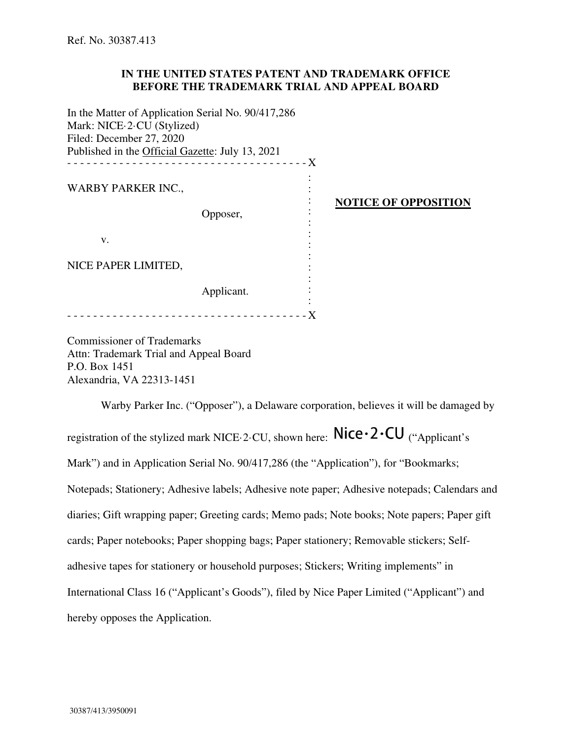#### **IN THE UNITED STATES PATENT AND TRADEMARK OFFICE BEFORE THE TRADEMARK TRIAL AND APPEAL BOARD**

In the Matter of Application Serial No. 90/417,286 Mark: NICE·2·CU (Stylized) Filed: December 27, 2020 Published in the Official Gazette: July 13, 2021 - - - - - - - - - - - - - - - - - - - - - - - - - - - - - - - - - - - - - X **NOTICE OF OPPOSITION**  WARBY PARKER INC., Opposer, v. NICE PAPER LIMITED, Applicant. : : : : : : : : : : : : - - - - - - - - - - - - - - - - - - - - - - - - - - - - - - - - - - - - - X

Commissioner of Trademarks Attn: Trademark Trial and Appeal Board P.O. Box 1451 Alexandria, VA 22313-1451

Warby Parker Inc. ("Opposer"), a Delaware corporation, believes it will be damaged by registration of the stylized mark NICE $\cdot$ 2 $\cdot$ CU, shown here: Nice $\cdot$ 2 $\cdot$ CU ("Applicant's Mark") and in Application Serial No. 90/417,286 (the "Application"), for "Bookmarks; Notepads; Stationery; Adhesive labels; Adhesive note paper; Adhesive notepads; Calendars and diaries; Gift wrapping paper; Greeting cards; Memo pads; Note books; Note papers; Paper gift cards; Paper notebooks; Paper shopping bags; Paper stationery; Removable stickers; Selfadhesive tapes for stationery or household purposes; Stickers; Writing implements" in International Class 16 ("Applicant's Goods"), filed by Nice Paper Limited ("Applicant") and hereby opposes the Application.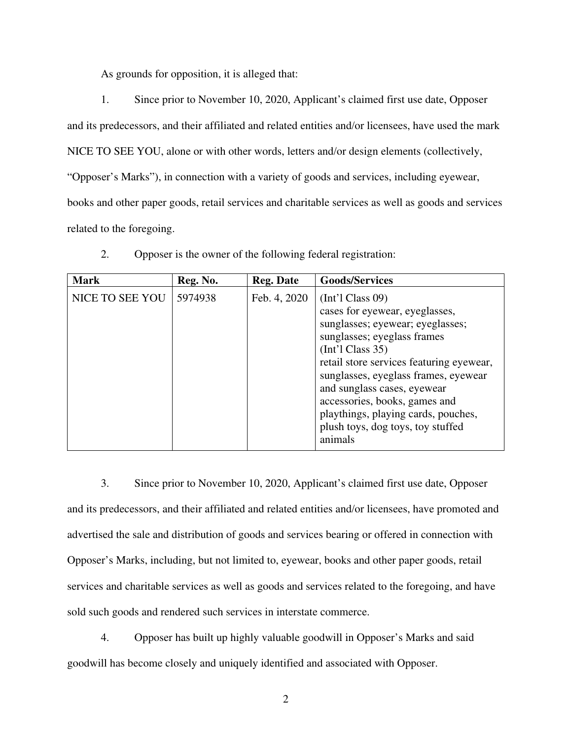As grounds for opposition, it is alleged that:

1. Since prior to November 10, 2020, Applicant's claimed first use date, Opposer and its predecessors, and their affiliated and related entities and/or licensees, have used the mark NICE TO SEE YOU, alone or with other words, letters and/or design elements (collectively, "Opposer's Marks"), in connection with a variety of goods and services, including eyewear, books and other paper goods, retail services and charitable services as well as goods and services related to the foregoing.

| <b>Mark</b>     | Reg. No. | <b>Reg. Date</b> | <b>Goods/Services</b>                                                                                                                                                                                                                                                                                                                                                                    |
|-----------------|----------|------------------|------------------------------------------------------------------------------------------------------------------------------------------------------------------------------------------------------------------------------------------------------------------------------------------------------------------------------------------------------------------------------------------|
| NICE TO SEE YOU | 5974938  | Feb. 4, 2020     | $[Int']$ Class 09)<br>cases for eyewear, eyeglasses,<br>sunglasses; eyewear; eyeglasses;<br>sunglasses; eyeglass frames<br>$[Int']$ Class 35)<br>retail store services featuring eyewear,<br>sunglasses, eyeglass frames, eyewear<br>and sunglass cases, eyewear<br>accessories, books, games and<br>playthings, playing cards, pouches,<br>plush toys, dog toys, toy stuffed<br>animals |

2. Opposer is the owner of the following federal registration:

3. Since prior to November 10, 2020, Applicant's claimed first use date, Opposer and its predecessors, and their affiliated and related entities and/or licensees, have promoted and advertised the sale and distribution of goods and services bearing or offered in connection with Opposer's Marks, including, but not limited to, eyewear, books and other paper goods, retail services and charitable services as well as goods and services related to the foregoing, and have sold such goods and rendered such services in interstate commerce.

4. Opposer has built up highly valuable goodwill in Opposer's Marks and said goodwill has become closely and uniquely identified and associated with Opposer.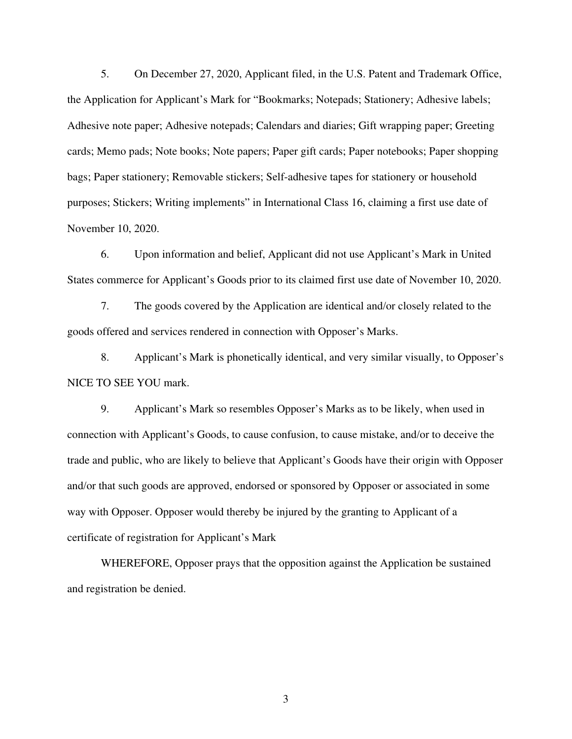5. On December 27, 2020, Applicant filed, in the U.S. Patent and Trademark Office, the Application for Applicant's Mark for "Bookmarks; Notepads; Stationery; Adhesive labels; Adhesive note paper; Adhesive notepads; Calendars and diaries; Gift wrapping paper; Greeting cards; Memo pads; Note books; Note papers; Paper gift cards; Paper notebooks; Paper shopping bags; Paper stationery; Removable stickers; Self-adhesive tapes for stationery or household purposes; Stickers; Writing implements" in International Class 16, claiming a first use date of November 10, 2020.

6. Upon information and belief, Applicant did not use Applicant's Mark in United States commerce for Applicant's Goods prior to its claimed first use date of November 10, 2020.

7. The goods covered by the Application are identical and/or closely related to the goods offered and services rendered in connection with Opposer's Marks.

8. Applicant's Mark is phonetically identical, and very similar visually, to Opposer's NICE TO SEE YOU mark.

9. Applicant's Mark so resembles Opposer's Marks as to be likely, when used in connection with Applicant's Goods, to cause confusion, to cause mistake, and/or to deceive the trade and public, who are likely to believe that Applicant's Goods have their origin with Opposer and/or that such goods are approved, endorsed or sponsored by Opposer or associated in some way with Opposer. Opposer would thereby be injured by the granting to Applicant of a certificate of registration for Applicant's Mark

WHEREFORE, Opposer prays that the opposition against the Application be sustained and registration be denied.

3